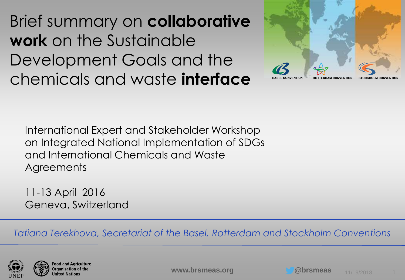Brief summary on **collaborative work** on the Sustainable Development Goals and the chemicals and waste **interface**



International Expert and Stakeholder Workshop on Integrated National Implementation of SDGs and International Chemicals and Waste Agreements

11-13 April 2016 Geneva, Switzerland

*Tatiana Terekhova, Secretariat of the Basel, Rotterdam and Stockholm Conventions*



**Food and Agriculture www.brsmeas.org @brsmeas** 11/19/2018 1 UNEP

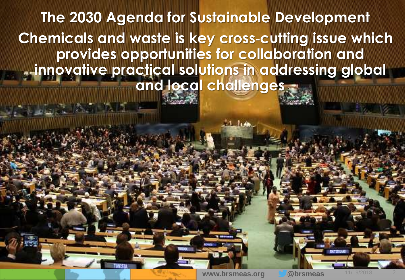**The 2030 Agenda for Sustainable Development Chemicals and waste is key cross**‐**cutting issue which provides opportunities for collaboration and innovative practical solutions in addressing global and local challenges** 

**www.brsmeas.org <b>blue** 2008 2009 2018 2019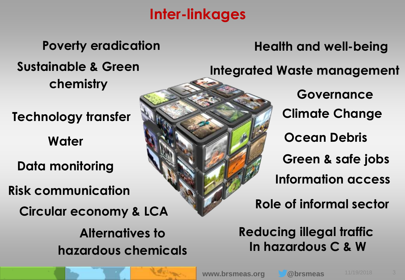### **Inter-linkages**

**Poverty eradication Sustainable & Green chemistry**

**Risk communication**

**Circular economy & LCA**

**Alternatives to hazardous chemicals** **Health and well-being** 

**Integrated Waste management**

**Role of informal sector Data monitoring Green & safe jobs Information access Governance Technology transfer KING Climate Change Water MANIFED AT A Complete Debris** 

> **Reducing illegal traffic In hazardous C & W**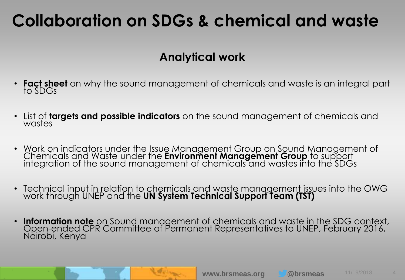# **Collaboration on SDGs & chemical and waste**

#### **Analytical work**

- **Fact sheet** on why the sound management of chemicals and waste is an integral part to SDGs
- List of **targets and possible indicators** on the sound management of chemicals and wastes
- Work on indicators under the Issue Management Group on Sound Management of Chemicals and Waste under the **Environment Management Group** to support integration of the sound management of chemicals and wastes into the SDGs
- Technical input in relation to chemicals and waste management issues into the OWG work through UNEP and the **UN System Technical Support Team (TST)**
- **Information note** on Sound management of chemicals and waste in the SDG context, Open-ended CPR Committee of Permanent Representatives to UNEP, February 2016, Nairobi, Kenya

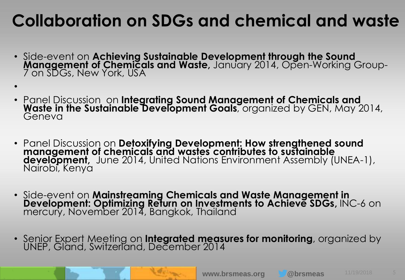# **Collaboration on SDGs and chemical and waste**

- Side-event on **Achieving Sustainable Development through the Sound Management of Chemicals and Waste,** January 2014, Open-Working Group-7 on SDGs, New York, USA
- Panel Discussion on **Integrating Sound Management of Chemicals and Waste in the Sustainable Development Goals**, organized by GEN, May 2014, Geneva
- Panel Discussion on **Detoxifying Development: How strengthened sound management of chemicals and wastes contributes to sustainable development,** June 2014, United Nations Environment Assembly (UNEA-1), Nairobi, Kenya
- Side-event on **Mainstreaming Chemicals and Waste Management in Development: Optimizing Return on Investments to Achieve SDGs,** INC-6 on mercury, November 2014, Bangkok, Thailand
- Senior Expert Meeting on **Integrated measures for monitoring**, organized by UNEP, Gland, Switzerland, December 2014



•

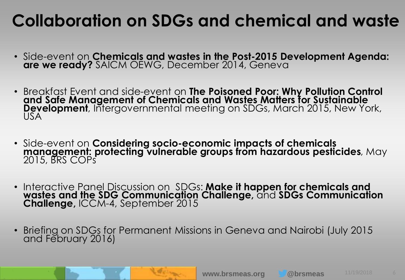# **Collaboration on SDGs and chemical and waste**

- Side-event on **Chemicals and wastes in the Post-2015 Development Agenda: are we ready?** SAICM OEWG, December 2014, Geneva
- Breakfast Event and side-event on **The Poisoned Poor: Why Pollution Control and Safe Management of Chemicals and Wastes Matters for Sustainable Development**, Intergovernmental meeting on SDGs, March 2015, New York, USA
- Side-event on **Considering socio-economic impacts of chemicals management: protecting vulnerable groups from hazardous pesticides**, May 2015, BRS COPs
- Interactive Panel Discussion on SDGs: **Make it happen for chemicals and wastes and the SDG Communication Challenge,** and **SDGs Communication Challenge,** ICCM-4, September 2015
- Briefing on SDGs for Permanent Missions in Geneva and Nairobi (July 2015 and February 2016)



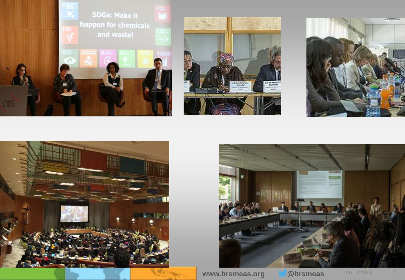









**www.brsmeas.org @brsmeas** 11/19/2018